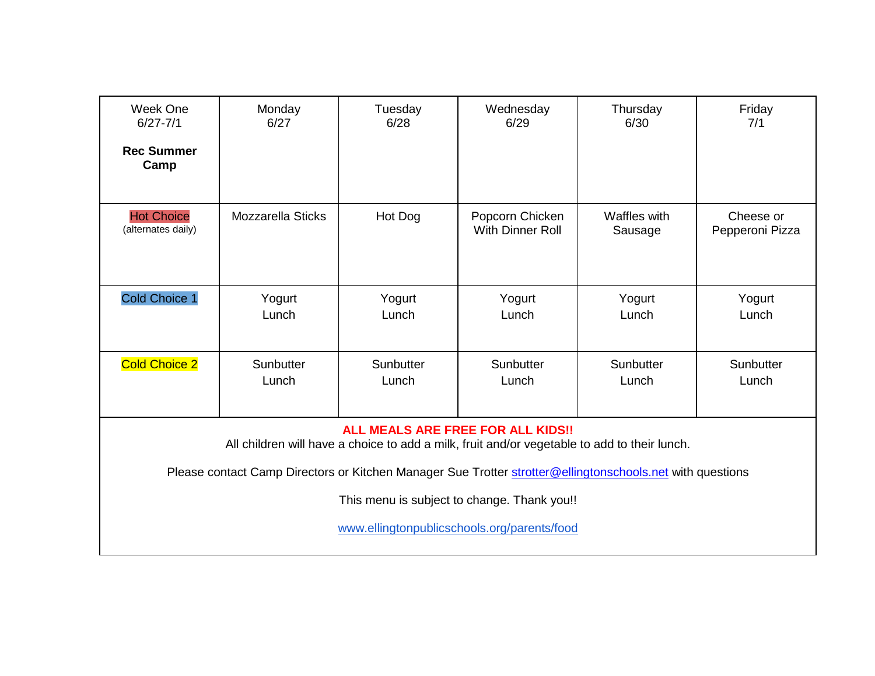| Week One<br>$6/27 - 7/1$                                                                                                                 | Monday<br>6/27           | Tuesday<br>6/28    | Wednesday<br>6/29                          | Thursday<br>6/30        | Friday<br>7/1                |  |
|------------------------------------------------------------------------------------------------------------------------------------------|--------------------------|--------------------|--------------------------------------------|-------------------------|------------------------------|--|
| <b>Rec Summer</b><br>Camp                                                                                                                |                          |                    |                                            |                         |                              |  |
| <b>Hot Choice</b><br>(alternates daily)                                                                                                  | <b>Mozzarella Sticks</b> | Hot Dog            | Popcorn Chicken<br><b>With Dinner Roll</b> | Waffles with<br>Sausage | Cheese or<br>Pepperoni Pizza |  |
| Cold Choice 1                                                                                                                            | Yogurt<br>Lunch          | Yogurt<br>Lunch    | Yogurt<br>Lunch                            | Yogurt<br>Lunch         | Yogurt<br>Lunch              |  |
| <b>Cold Choice 2</b>                                                                                                                     | Sunbutter<br>Lunch       | Sunbutter<br>Lunch | Sunbutter<br>Lunch                         | Sunbutter<br>Lunch      | Sunbutter<br>Lunch           |  |
| <b>ALL MEALS ARE FREE FOR ALL KIDS!!</b><br>All children will have a choice to add a milk, fruit and/or vegetable to add to their lunch. |                          |                    |                                            |                         |                              |  |
| Please contact Camp Directors or Kitchen Manager Sue Trotter strotter@ellingtonschools.net with questions                                |                          |                    |                                            |                         |                              |  |
| This menu is subject to change. Thank you!!                                                                                              |                          |                    |                                            |                         |                              |  |
| www.ellingtonpublicschools.org/parents/food                                                                                              |                          |                    |                                            |                         |                              |  |

L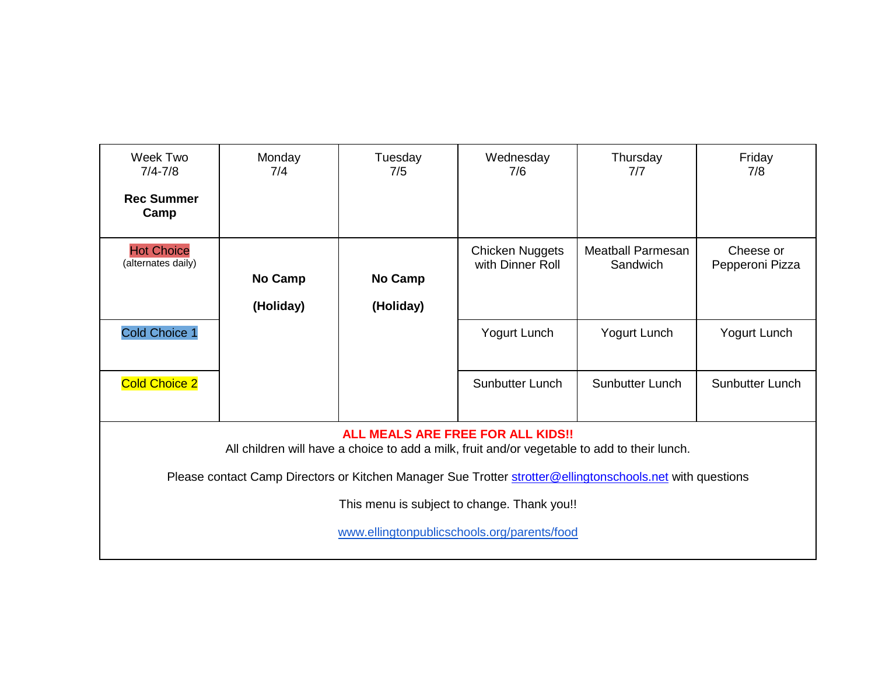| Week Two<br>$7/4 - 7/8$<br><b>Rec Summer</b><br>Camp                                                                              | Monday<br>7/4               | Tuesday<br>7/5              | Wednesday<br>7/6                           | Thursday<br>7/7                                                                                           | Friday<br>7/8                |  |
|-----------------------------------------------------------------------------------------------------------------------------------|-----------------------------|-----------------------------|--------------------------------------------|-----------------------------------------------------------------------------------------------------------|------------------------------|--|
| <b>Hot Choice</b><br>(alternates daily)                                                                                           | <b>No Camp</b><br>(Holiday) | <b>No Camp</b><br>(Holiday) | <b>Chicken Nuggets</b><br>with Dinner Roll | <b>Meatball Parmesan</b><br>Sandwich                                                                      | Cheese or<br>Pepperoni Pizza |  |
| Cold Choice 1                                                                                                                     |                             |                             | Yogurt Lunch                               | Yogurt Lunch                                                                                              | Yogurt Lunch                 |  |
| <b>Cold Choice 2</b>                                                                                                              |                             |                             | <b>Sunbutter Lunch</b>                     | Sunbutter Lunch                                                                                           | <b>Sunbutter Lunch</b>       |  |
| ALL MEALS ARE FREE FOR ALL KIDS!!<br>All children will have a choice to add a milk, fruit and/or vegetable to add to their lunch. |                             |                             |                                            |                                                                                                           |                              |  |
|                                                                                                                                   |                             |                             |                                            | Please contact Camp Directors or Kitchen Manager Sue Trotter strotter@ellingtonschools.net with questions |                              |  |
| This menu is subject to change. Thank you!!<br>www.ellingtonpublicschools.org/parents/food                                        |                             |                             |                                            |                                                                                                           |                              |  |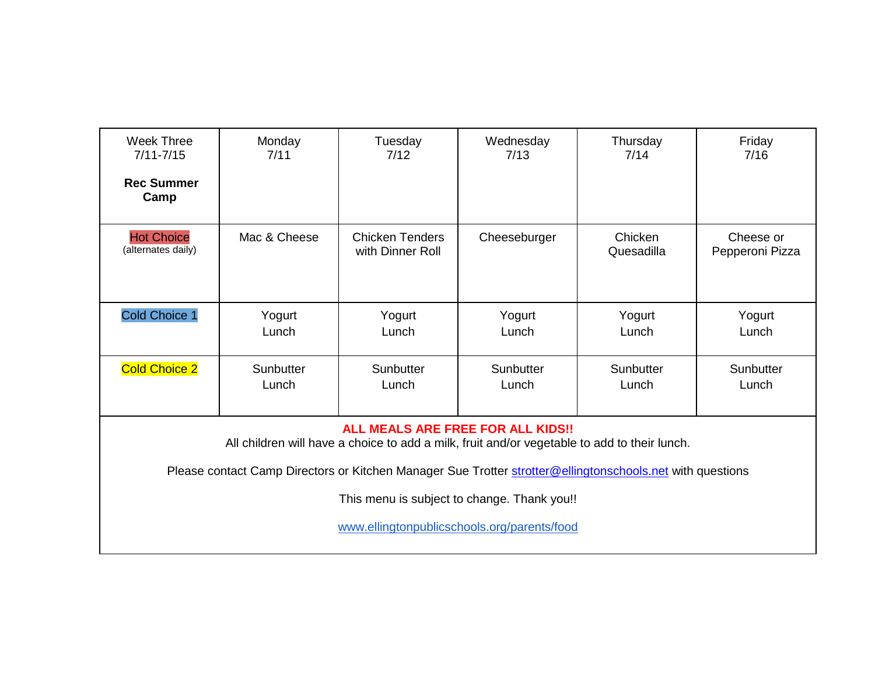| <b>Week Three</b><br>$7/11 - 7/15$<br><b>Rec Summer</b><br>Camp                                                                          | Monday<br>7/11     | Tuesday<br>7/12                            | Wednesday<br>7/13  | Thursday<br>7/14      | Friday<br>7/16               |  |
|------------------------------------------------------------------------------------------------------------------------------------------|--------------------|--------------------------------------------|--------------------|-----------------------|------------------------------|--|
| <b>Hot Choice</b><br>(alternates daily)                                                                                                  | Mac & Cheese       | <b>Chicken Tenders</b><br>with Dinner Roll | Cheeseburger       | Chicken<br>Quesadilla | Cheese or<br>Pepperoni Pizza |  |
| <b>Cold Choice 1</b>                                                                                                                     | Yogurt<br>Lunch    | Yogurt<br>Lunch                            | Yogurt<br>Lunch    | Yogurt<br>Lunch       | Yogurt<br>Lunch              |  |
| <b>Cold Choice 2</b>                                                                                                                     | Sunbutter<br>Lunch | Sunbutter<br>Lunch                         | Sunbutter<br>Lunch | Sunbutter<br>Lunch    | Sunbutter<br>Lunch           |  |
| <b>ALL MEALS ARE FREE FOR ALL KIDS!!</b><br>All children will have a choice to add a milk, fruit and/or vegetable to add to their lunch. |                    |                                            |                    |                       |                              |  |
| Please contact Camp Directors or Kitchen Manager Sue Trotter strotter@ellingtonschools.net with questions                                |                    |                                            |                    |                       |                              |  |
| This menu is subject to change. Thank you!!                                                                                              |                    |                                            |                    |                       |                              |  |
| www.ellingtonpublicschools.org/parents/food                                                                                              |                    |                                            |                    |                       |                              |  |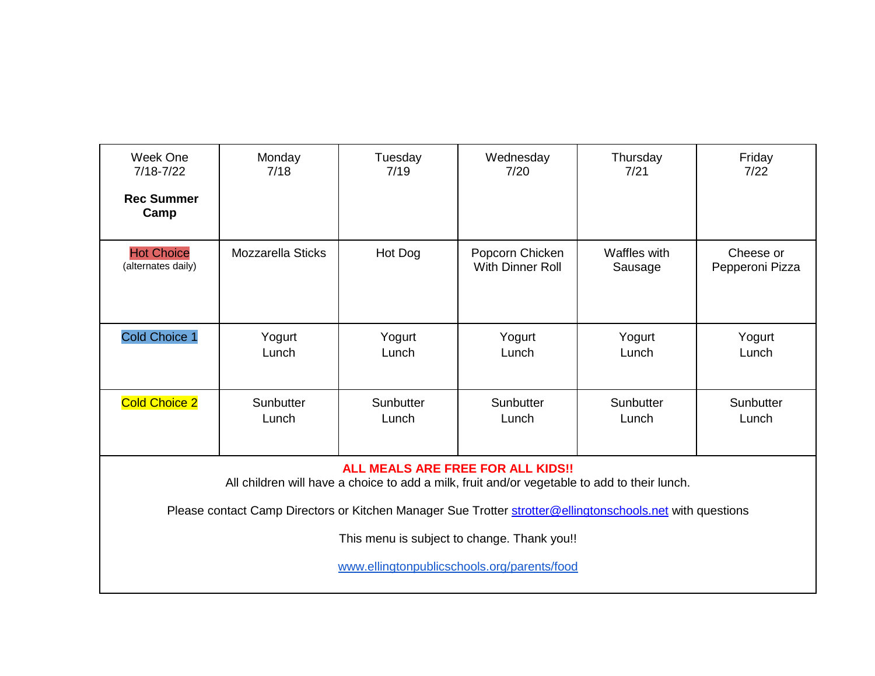| Week One<br>$7/18 - 7/22$<br><b>Rec Summer</b><br>Camp                                                                            | Monday<br>7/18           | Tuesday<br>7/19    | Wednesday<br>7/20                          | Thursday<br>7/21        | Friday<br>7/22               |  |
|-----------------------------------------------------------------------------------------------------------------------------------|--------------------------|--------------------|--------------------------------------------|-------------------------|------------------------------|--|
| <b>Hot Choice</b><br>(alternates daily)                                                                                           | <b>Mozzarella Sticks</b> | Hot Dog            | Popcorn Chicken<br><b>With Dinner Roll</b> | Waffles with<br>Sausage | Cheese or<br>Pepperoni Pizza |  |
| Cold Choice 1                                                                                                                     | Yogurt<br>Lunch          | Yogurt<br>Lunch    | Yogurt<br>Lunch                            | Yogurt<br>Lunch         | Yogurt<br>Lunch              |  |
| <b>Cold Choice 2</b>                                                                                                              | Sunbutter<br>Lunch       | Sunbutter<br>Lunch | Sunbutter<br>Lunch                         | Sunbutter<br>Lunch      | Sunbutter<br>Lunch           |  |
| ALL MEALS ARE FREE FOR ALL KIDS!!<br>All children will have a choice to add a milk, fruit and/or vegetable to add to their lunch. |                          |                    |                                            |                         |                              |  |
| Please contact Camp Directors or Kitchen Manager Sue Trotter strotter@ellingtonschools.net with questions                         |                          |                    |                                            |                         |                              |  |
| This menu is subject to change. Thank you!!                                                                                       |                          |                    |                                            |                         |                              |  |
| www.ellingtonpublicschools.org/parents/food                                                                                       |                          |                    |                                            |                         |                              |  |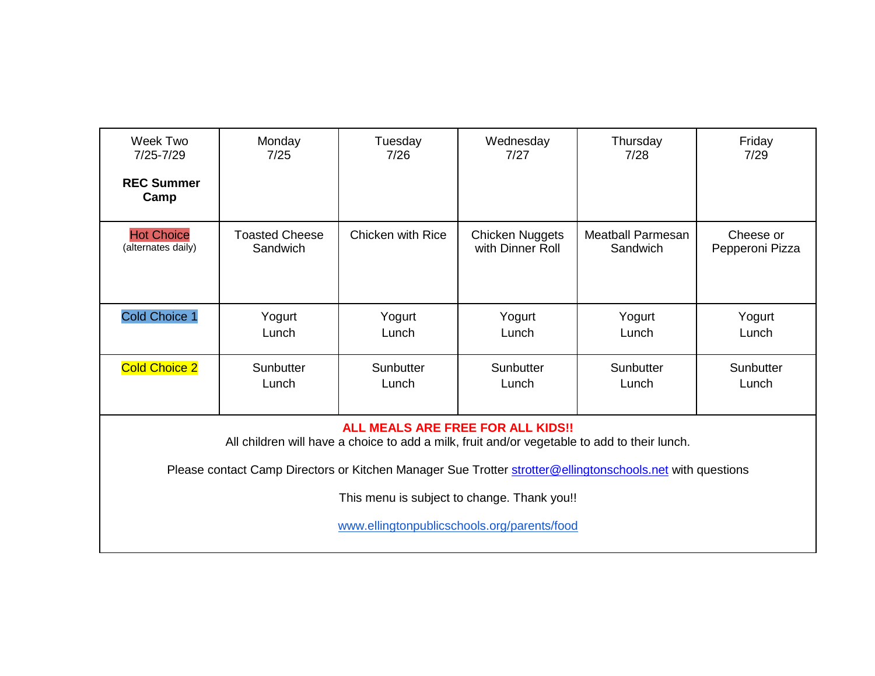| Week Two<br>$7/25 - 7/29$<br><b>REC Summer</b><br>Camp                                                                                   | Monday<br>7/25                    | Tuesday<br>7/26    | Wednesday<br>7/27                          | Thursday<br>7/28                     | Friday<br>7/29               |  |  |
|------------------------------------------------------------------------------------------------------------------------------------------|-----------------------------------|--------------------|--------------------------------------------|--------------------------------------|------------------------------|--|--|
| <b>Hot Choice</b><br>(alternates daily)                                                                                                  | <b>Toasted Cheese</b><br>Sandwich | Chicken with Rice  | <b>Chicken Nuggets</b><br>with Dinner Roll | <b>Meatball Parmesan</b><br>Sandwich | Cheese or<br>Pepperoni Pizza |  |  |
| <b>Cold Choice 1</b>                                                                                                                     | Yogurt<br>Lunch                   | Yogurt<br>Lunch    | Yogurt<br>Lunch                            | Yogurt<br>Lunch                      | Yogurt<br>Lunch              |  |  |
| <b>Cold Choice 2</b>                                                                                                                     | Sunbutter<br>Lunch                | Sunbutter<br>Lunch | Sunbutter<br>Lunch                         | Sunbutter<br>Lunch                   | Sunbutter<br>Lunch           |  |  |
| <b>ALL MEALS ARE FREE FOR ALL KIDS!!</b><br>All children will have a choice to add a milk, fruit and/or vegetable to add to their lunch. |                                   |                    |                                            |                                      |                              |  |  |
| Please contact Camp Directors or Kitchen Manager Sue Trotter strotter@ellingtonschools.net with questions                                |                                   |                    |                                            |                                      |                              |  |  |
| This menu is subject to change. Thank you!!                                                                                              |                                   |                    |                                            |                                      |                              |  |  |
| www.ellingtonpublicschools.org/parents/food                                                                                              |                                   |                    |                                            |                                      |                              |  |  |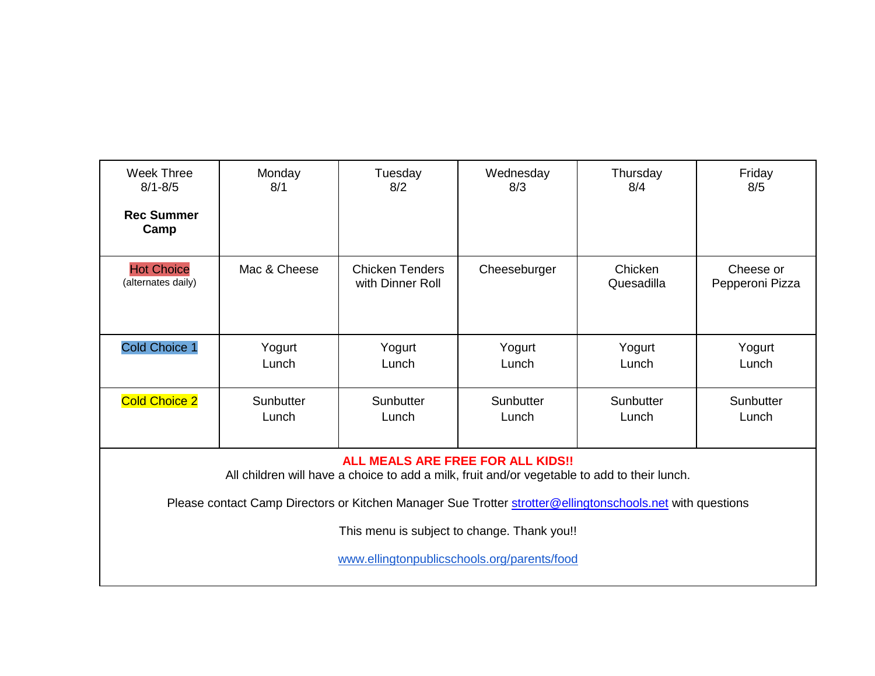| <b>Week Three</b><br>$8/1 - 8/5$<br><b>Rec Summer</b><br>Camp                                                                            | Monday<br>8/1      | Tuesday<br>8/2                             | Wednesday<br>8/3   | Thursday<br>8/4       | Friday<br>8/5                |  |
|------------------------------------------------------------------------------------------------------------------------------------------|--------------------|--------------------------------------------|--------------------|-----------------------|------------------------------|--|
| <b>Hot Choice</b><br>(alternates daily)                                                                                                  | Mac & Cheese       | <b>Chicken Tenders</b><br>with Dinner Roll | Cheeseburger       | Chicken<br>Quesadilla | Cheese or<br>Pepperoni Pizza |  |
| <b>Cold Choice 1</b>                                                                                                                     | Yogurt<br>Lunch    | Yogurt<br>Lunch                            | Yogurt<br>Lunch    | Yogurt<br>Lunch       | Yogurt<br>Lunch              |  |
| <b>Cold Choice 2</b>                                                                                                                     | Sunbutter<br>Lunch | Sunbutter<br>Lunch                         | Sunbutter<br>Lunch | Sunbutter<br>Lunch    | Sunbutter<br>Lunch           |  |
| <b>ALL MEALS ARE FREE FOR ALL KIDS!!</b><br>All children will have a choice to add a milk, fruit and/or vegetable to add to their lunch. |                    |                                            |                    |                       |                              |  |
| Please contact Camp Directors or Kitchen Manager Sue Trotter strotter@ellingtonschools.net with questions                                |                    |                                            |                    |                       |                              |  |
| This menu is subject to change. Thank you!!                                                                                              |                    |                                            |                    |                       |                              |  |
| www.ellingtonpublicschools.org/parents/food                                                                                              |                    |                                            |                    |                       |                              |  |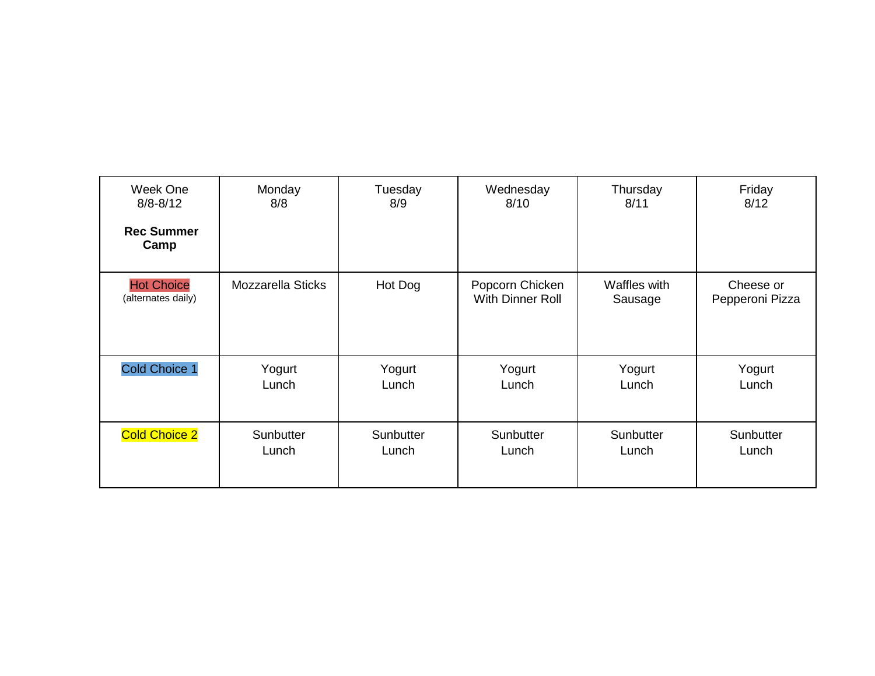| Week One                                | Monday                   | Tuesday   | Wednesday                           | Thursday                | Friday                       |
|-----------------------------------------|--------------------------|-----------|-------------------------------------|-------------------------|------------------------------|
| $8/8 - 8/12$                            | 8/8                      | 8/9       | 8/10                                | 8/11                    | 8/12                         |
| <b>Rec Summer</b><br>Camp               |                          |           |                                     |                         |                              |
| <b>Hot Choice</b><br>(alternates daily) | <b>Mozzarella Sticks</b> | Hot Dog   | Popcorn Chicken<br>With Dinner Roll | Waffles with<br>Sausage | Cheese or<br>Pepperoni Pizza |
| <b>Cold Choice 1</b>                    | Yogurt                   | Yogurt    | Yogurt                              | Yogurt                  | Yogurt                       |
|                                         | Lunch                    | Lunch     | Lunch                               | Lunch                   | Lunch                        |
| <b>Cold Choice 2</b>                    | Sunbutter                | Sunbutter | Sunbutter                           | Sunbutter               | Sunbutter                    |
|                                         | Lunch                    | Lunch     | Lunch                               | Lunch                   | Lunch                        |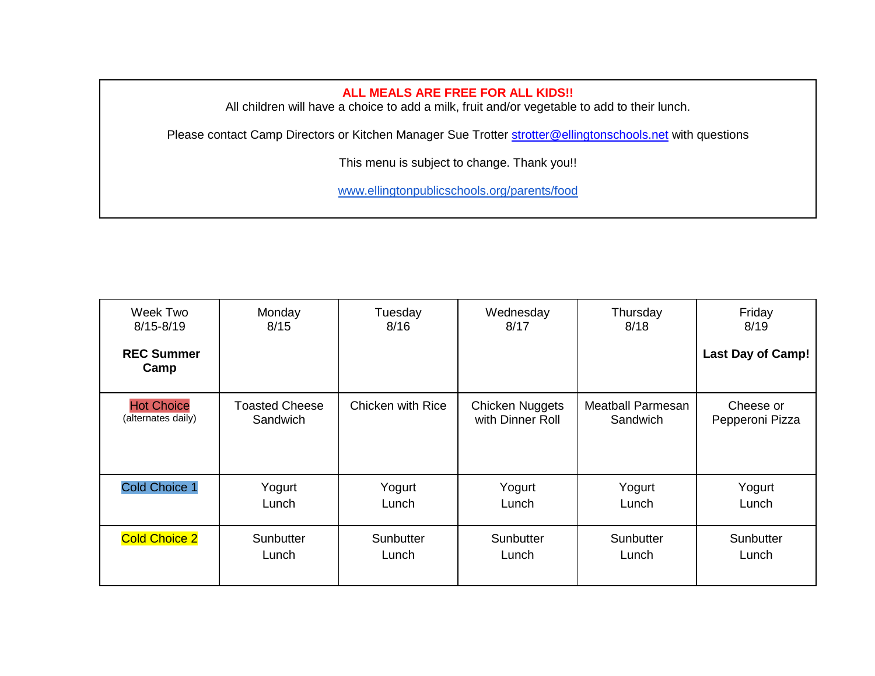## **ALL MEALS ARE FREE FOR ALL KIDS!!**

All children will have a choice to add a milk, fruit and/or vegetable to add to their lunch.

Please contact Camp Directors or Kitchen Manager Sue Trotter [strotter@ellingtonschools.net](mailto:strotter@ellingtonschools.net) with questions

This menu is subject to change. Thank you!!

www.ellingtonpublicschools.org/parents/food

| Week Two                  | Monday                | Tuesday           | Wednesday        | Thursday                 | Friday                   |
|---------------------------|-----------------------|-------------------|------------------|--------------------------|--------------------------|
| $8/15 - 8/19$             | 8/15                  | 8/16              | 8/17             | 8/18                     | 8/19                     |
| <b>REC Summer</b><br>Camp |                       |                   |                  |                          | <b>Last Day of Camp!</b> |
| <b>Hot Choice</b>         | <b>Toasted Cheese</b> | Chicken with Rice | Chicken Nuggets  | <b>Meatball Parmesan</b> | Cheese or                |
| (alternates daily)        | Sandwich              |                   | with Dinner Roll | <b>Sandwich</b>          | Pepperoni Pizza          |
| <b>Cold Choice 1</b>      | Yogurt                | Yogurt            | Yogurt           | Yogurt                   | Yogurt                   |
|                           | Lunch                 | Lunch             | Lunch            | Lunch                    | Lunch                    |
| <b>Cold Choice 2</b>      | Sunbutter             | Sunbutter         | Sunbutter        | Sunbutter                | Sunbutter                |
|                           | Lunch                 | Lunch             | Lunch            | Lunch                    | Lunch                    |